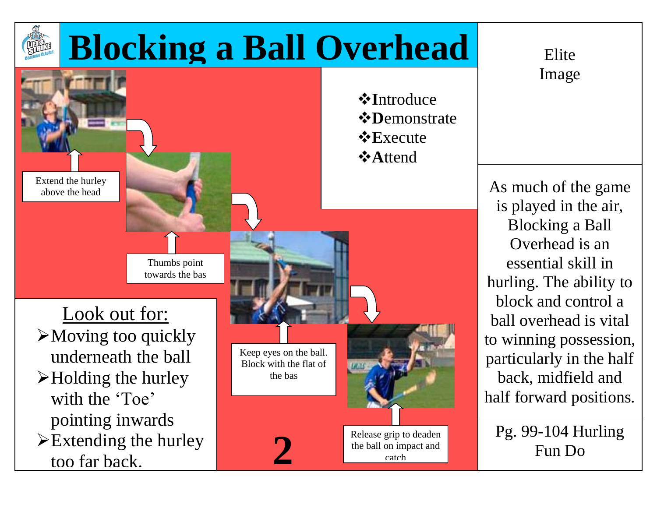

Image

As much of the game is played in the air, Blocking a Ball Overhead is an essential skill in hurling. The ability to block and control a ball overhead is vital to winning possession, particularly in the half back, midfield and half forward positions.

Pg. 99-104 Hurling **2** Fun Do